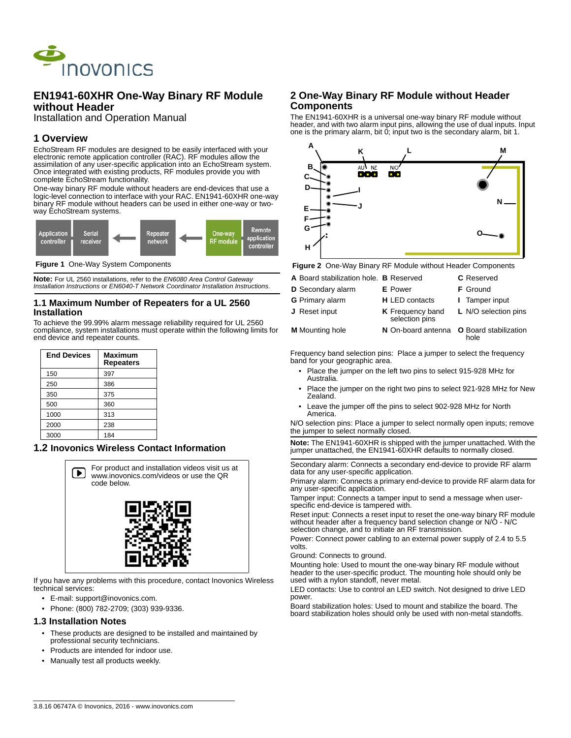

# **EN1941-60XHR One-Way Binary RF Module without Header**

Installation and Operation Manual

# **1 Overview**

EchoStream RF modules are designed to be easily interfaced with your electronic remote application controller (RAC). RF modules allow the assimilation of any user-specific application into an EchoStream system. Once integrated with existing products, RF modules provide you with complete EchoStream functionality.

One-way binary RF module without headers are end-devices that use a logic-level connection to interface with your RAC. EN1941-60XHR one-way binary RF module without headers can be used in either one-way or twoway EchoStream systems.



 **Figure 1** One-Way System Components

**Note:** For UL 2560 installations, refer to the *EN6080 Area Control Gateway Installation Instructions* or *EN6040-T Network Coordinator Installation Instructions*.

#### **1.1 Maximum Number of Repeaters for a UL 2560 Installation**

To achieve the 99.99% alarm message reliability required for UL 2560 compliance, system installations must operate within the following limits for end device and repeater counts.

| <b>End Devices</b> | <b>Maximum</b><br><b>Repeaters</b> |
|--------------------|------------------------------------|
| 150                | 397                                |
| 250                | 386                                |
| 350                | 375                                |
| 500                | 360                                |
| 1000               | 313                                |
| 2000               | 238                                |
| 3000               | 184                                |

#### **1.2 Inovonics Wireless Contact Information**



If you have any problems with this procedure, contact Inovonics Wireless technical services:

- E-mail: support@inovonics.com.
- Phone: (800) 782-2709; (303) 939-9336.

#### **1.3 Installation Notes**

- These products are designed to be installed and maintained by professional security technicians.
- Products are intended for indoor use.
- Manually test all products weekly.

#### **2 One-Way Binary RF Module without Header Components**

The EN1941-60XHR is a universal one-way binary RF module without header, and with two alarm input pins, allowing the use of dual inputs. Input one is the primary alarm, bit 0; input two is the secondary alarm, bit 1.



 **Figure 2** One-Way Binary RF Module without Header Components

| A Board stabilization hole. B Reserved |                                           | <b>C</b> Reserved    |
|----------------------------------------|-------------------------------------------|----------------------|
| D Secondary alarm                      | <b>E</b> Power                            | <b>F</b> Ground      |
| <b>G</b> Primary alarm                 | <b>H</b> LED contacts                     | I Tamper input       |
| J Reset input                          | <b>K</b> Frequency band<br>selection pins | L N/O selection pins |
| <b>M</b> Mounting hole                 | N On-board antenna O Board stabilization  |                      |

Frequency band selection pins: Place a jumper to select the frequency band for your geographic area.

hole

- Place the jumper on the left two pins to select 915-928 MHz for Australia.
- Place the jumper on the right two pins to select 921-928 MHz for New Zealand.
- Leave the jumper off the pins to select 902-928 MHz for North America.

N/O selection pins: Place a jumper to select normally open inputs; remove the jumper to select normally closed.

**Note:** The EN1941-60XHR is shipped with the jumper unattached. With the jumper unattached, the EN1941-60XHR defaults to normally closed.

Secondary alarm: Connects a secondary end-device to provide RF alarm data for any user-specific application.

Primary alarm: Connects a primary end-device to provide RF alarm data for any user-specific application.

Tamper input: Connects a tamper input to send a message when userspecific end-device is tampered with.

Reset input: Connects a reset input to reset the one-way binary RF module without header after a frequency band selection change or N/O - N/C selection change, and to initiate an RF transmission.

Power: Connect power cabling to an external power supply of 2.4 to 5.5 volts.

Ground: Connects to ground.

Mounting hole: Used to mount the one-way binary RF module without header to the user-specific product. The mounting hole should only be used with a nylon standoff, never metal.

LED contacts: Use to control an LED switch. Not designed to drive LED power.

Board stabilization holes: Used to mount and stabilize the board. The board stabilization holes should only be used with non-metal standoffs.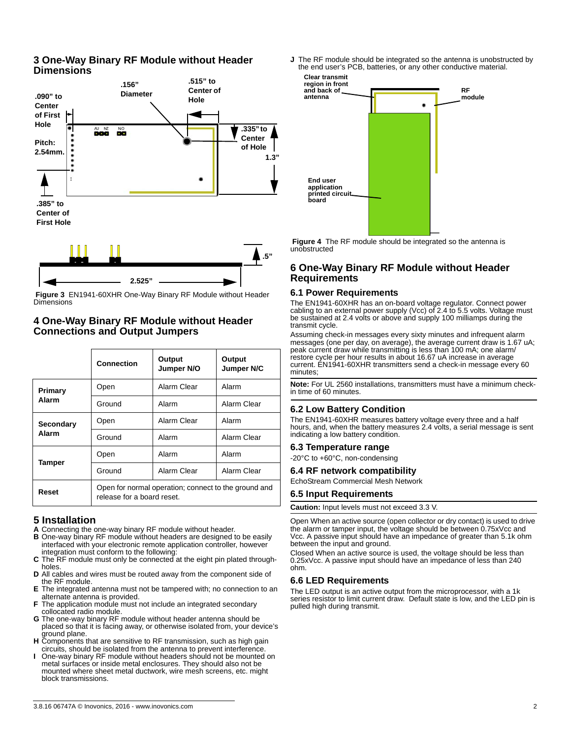### **3 One-Way Binary RF Module without Header Dimensions**





 **Figure 3** EN1941-60XHR One-Way Binary RF Module without Header Dimensions

# **4 One-Way Binary RF Module without Header Connections and Output Jumpers**

|                    | <b>Connection</b>                                                                  | Output<br>Jumper N/O | Output<br>Jumper N/C |
|--------------------|------------------------------------------------------------------------------------|----------------------|----------------------|
| Primary<br>Alarm   | Open                                                                               | Alarm Clear          | Alarm                |
|                    | Ground                                                                             | Alarm                | Alarm Clear          |
| Secondary<br>Alarm | Open                                                                               | Alarm Clear          | Alarm                |
|                    | Ground                                                                             | Alarm                | Alarm Clear          |
| Tamper             | Open                                                                               | Alarm                | Alarm                |
|                    | Ground                                                                             | Alarm Clear          | Alarm Clear          |
| Reset              | Open for normal operation; connect to the ground and<br>release for a board reset. |                      |                      |

# **5 Installation**

- **A** Connecting the one-way binary RF module without header. **B** One-way binary RF module without headers are designed to be easily
- interfaced with your electronic remote application controller, however
- integration must conform to the following: **C** The RF module must only be connected at the eight pin plated throughholes.
- **D** All cables and wires must be routed away from the component side of the RF module.
- **E** The integrated antenna must not be tampered with; no connection to an alternate antenna is provided.
- **F** The application module must not include an integrated secondary collocated radio module.
- **G** The one-way binary RF module without header antenna should be placed so that it is facing away, or otherwise isolated from, your device's ground plane.
- **H** Components that are sensitive to RF transmission, such as high gain circuits, should be isolated from the antenna to prevent interference.
- **I** One-way binary RF module without headers should not be mounted on metal surfaces or inside metal enclosures. They should also not be mounted where sheet metal ductwork, wire mesh screens, etc. might block transmissions.

**J** The RF module should be integrated so the antenna is unobstructed by the end user's PCB, batteries, or any other conductive material.



 **Figure 4** The RF module should be integrated so the antenna is unobstructed

# **6 One-Way Binary RF Module without Header Requirements**

#### **6.1 Power Requirements**

The EN1941-60XHR has an on-board voltage regulator. Connect power cabling to an external power supply (Vcc) of 2.4 to 5.5 volts. Voltage must be sustained at 2.4 volts or above and supply 100 milliamps during the transmit cycle.

Assuming check-in messages every sixty minutes and infrequent alarm messages (one per day, on average), the average current draw is 1.67 uA; peak current draw while transmitting is less than 100 mA; one alarm/ restore cycle per hour results in about 16.67 uA increase in average current. EN1941-60XHR transmitters send a check-in message every 60 minutes;

**Note:** For UL 2560 installations, transmitters must have a minimum checkin time of 60 minutes.

#### **6.2 Low Battery Condition**

The EN1941-60XHR measures battery voltage every three and a half hours, and, when the battery measures 2.4 volts, a serial message is sent indicating a low battery condition.

#### **6.3 Temperature range**

-20°C to +60°C, non-condensing

#### **6.4 RF network compatibility**

EchoStream Commercial Mesh Network

#### **6.5 Input Requirements**

**Caution:** Input levels must not exceed 3.3 V.

Open When an active source (open collector or dry contact) is used to drive the alarm or tamper input, the voltage should be between 0.75xVcc and Vcc. A passive input should have an impedance of greater than 5.1k ohm between the input and ground.

Closed When an active source is used, the voltage should be less than 0.25xVcc. A passive input should have an impedance of less than 240 ohm.

#### **6.6 LED Requirements**

The LED output is an active output from the microprocessor, with a 1k series resistor to limit current draw. Default state is low, and the LED pin is pulled high during transmit.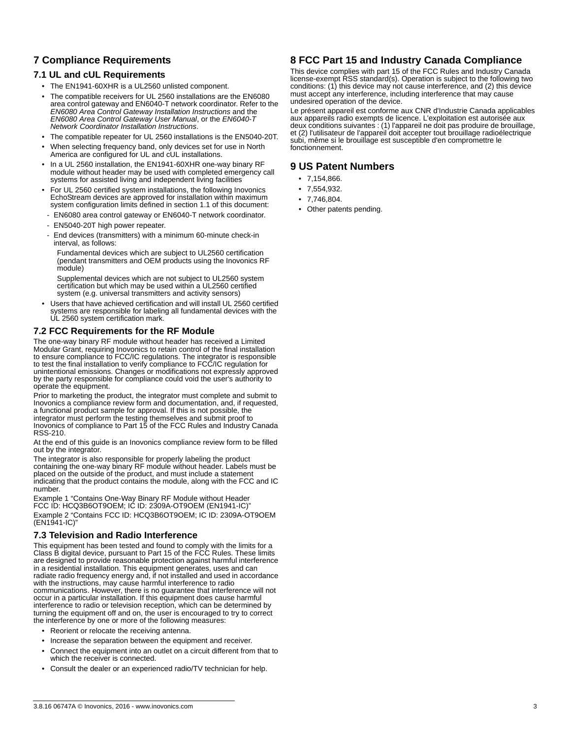# **7 Compliance Requirements**

#### **7.1 UL and cUL Requirements**

- The EN1941-60XHR is a UL2560 unlisted component.
- The compatible receivers for UL 2560 installations are the EN6080 area control gateway and EN6040-T network coordinator. Refer to the *EN6080 Area Control Gateway Installation Instructions* and the *EN6080 Area Control Gateway User Manual*, or the *EN6040-T Network Coordinator Installation Instructions*.
- The compatible repeater for UL 2560 installations is the EN5040-20T.
- When selecting frequency band, only devices set for use in North America are configured for UL and cUL installations.
- In a UL 2560 installation, the EN1941-60XHR one-way binary RF module without header may be used with completed emergency call systems for assisted living and independent living facilities
- For UL 2560 certified system installations, the following Inovonics EchoStream devices are approved for installation within maximum system configuration limits defined in section 1.1 of this document:
- EN6080 area control gateway or EN6040-T network coordinator.
- EN5040-20T high power repeater.
- End devices (transmitters) with a minimum 60-minute check-in interval, as follows:
	- Fundamental devices which are subject to UL2560 certification (pendant transmitters and OEM products using the Inovonics RF module)
	- Supplemental devices which are not subject to UL2560 system certification but which may be used within a UL2560 certified system (e.g. universal transmitters and activity sensors)
- Users that have achieved certification and will install UL 2560 certified systems are responsible for labeling all fundamental devices with the UL 2560 system certification mark.

# **7.2 FCC Requirements for the RF Module**

The one-way binary RF module without header has received a Limited Modular Grant, requiring Inovonics to retain control of the final installation to ensure compliance to FCC/IC regulations. The integrator is responsible to test the final installation to verify compliance to FCC/IC regulation for unintentional emissions. Changes or modifications not expressly approved by the party responsible for compliance could void the user's authority to operate the equipment.

Prior to marketing the product, the integrator must complete and submit to Inovonics a compliance review form and documentation, and, if requested, a functional product sample for approval. If this is not possible, the integrator must perform the testing themselves and submit proof to Inovonics of compliance to Part 15 of the FCC Rules and Industry Canada RSS-210.

At the end of this guide is an Inovonics compliance review form to be filled out by the integrator.

The integrator is also responsible for properly labeling the product containing the one-way binary RF module without header. Labels must be placed on the outside of the product, and must include a statement indicating that the product contains the module, along with the FCC and IC number.

Example 1 "Contains One-Way Binary RF Module without Header FCC ID: HCQ3B6OT9OEM; IC ID: 2309A-OT9OEM (EN1941-IC)"

Example 2 "Contains FCC ID: HCQ3B6OT9OEM; IC ID: 2309A-OT9OEM (EN1941-IC)"

#### **7.3 Television and Radio Interference**

This equipment has been tested and found to comply with the limits for a Class B digital device, pursuant to Part 15 of the FCC Rules. These limits are designed to provide reasonable protection against harmful interference in a residential installation. This equipment generates, uses and can radiate radio frequency energy and, if not installed and used in accordance with the instructions, may cause harmful interference to radio communications. However, there is no guarantee that interference will not occur in a particular installation. If this equipment does cause harmful interference to radio or television reception, which can be determined by turning the equipment off and on, the user is encouraged to try to correct the interference by one or more of the following measures:

- Reorient or relocate the receiving antenna.
- Increase the separation between the equipment and receiver.
- Connect the equipment into an outlet on a circuit different from that to which the receiver is connected.
- Consult the dealer or an experienced radio/TV technician for help.

# **8 FCC Part 15 and Industry Canada Compliance**

This device complies with part 15 of the FCC Rules and Industry Canada license-exempt RSS standard(s). Operation is subject to the following two conditions: (1) this device may not cause interference, and (2) this device must accept any interference, including interference that may cause undesired operation of the device.

Le présent appareil est conforme aux CNR d'Industrie Canada applicables aux appareils radio exempts de licence. L'exploitation est autorisée aux deux conditions suivantes : (1) l'appareil ne doit pas produire de brouillage, et (2) l'utilisateur de l'appareil doit accepter tout brouillage radioélectrique subi, même si le brouillage est susceptible d'en compromettre le fonctionnement.

### **9 US Patent Numbers**

- 7,154,866.
- 7,554,932.
- 7,746,804.
- Other patents pending.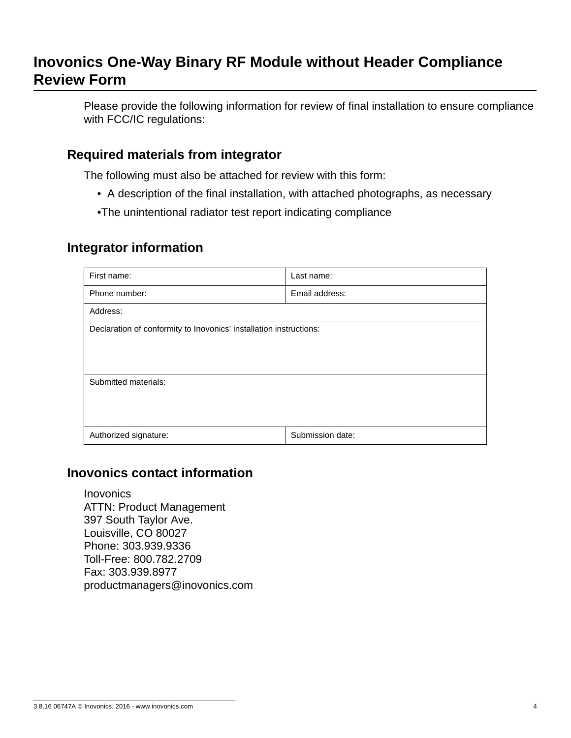# **Inovonics One-Way Binary RF Module without Header Compliance Review Form**

Please provide the following information for review of final installation to ensure compliance with FCC/IC regulations:

# **Required materials from integrator**

The following must also be attached for review with this form:

- A description of the final installation, with attached photographs, as necessary
- •The unintentional radiator test report indicating compliance

# **Integrator information**

| First name:                                                        | Last name:       |  |  |
|--------------------------------------------------------------------|------------------|--|--|
| Phone number:                                                      | Email address:   |  |  |
| Address:                                                           |                  |  |  |
| Declaration of conformity to Inovonics' installation instructions: |                  |  |  |
|                                                                    |                  |  |  |
| Submitted materials:                                               |                  |  |  |
|                                                                    |                  |  |  |
|                                                                    |                  |  |  |
| Authorized signature:                                              | Submission date: |  |  |

# **Inovonics contact information**

Inovonics ATTN: Product Management 397 South Taylor Ave. Louisville, CO 80027 Phone: 303.939.9336 Toll-Free: 800.782.2709 Fax: 303.939.8977 productmanagers@inovonics.com